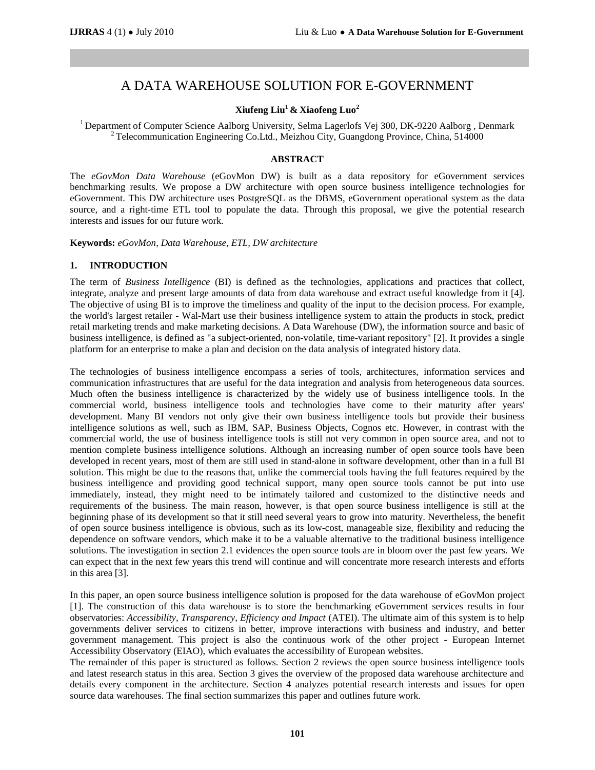# A DATA WAREHOUSE SOLUTION FOR E-GOVERNMENT

# **Xiufeng Liu<sup>1</sup>& Xiaofeng Luo<sup>2</sup>**

<sup>1</sup> Department of Computer Science Aalborg University, Selma Lagerlofs Vej 300, DK-9220 Aalborg, Denmark <sup>2</sup> Telecommunication Engineering Co.Ltd., Meizhou City, Guangdong Province, China, 514000

### **ABSTRACT**

The *eGovMon Data Warehouse* (eGovMon DW) is built as a data repository for eGovernment services benchmarking results. We propose a DW architecture with open source business intelligence technologies for eGovernment. This DW architecture uses PostgreSQL as the DBMS, eGovernment operational system as the data source, and a right-time ETL tool to populate the data. Through this proposal, we give the potential research interests and issues for our future work.

**Keywords:** *eGovMon, Data Warehouse, ETL, DW architecture*

#### **1. INTRODUCTION**

The term of *Business Intelligence* (BI) is defined as the technologies, applications and practices that collect, integrate, analyze and present large amounts of data from data warehouse and extract useful knowledge from it [4]. The objective of using BI is to improve the timeliness and quality of the input to the decision process. For example, the world's largest retailer - Wal-Mart use their business intelligence system to attain the products in stock, predict retail marketing trends and make marketing decisions. A Data Warehouse (DW), the information source and basic of business intelligence, is defined as "a subject-oriented, non-volatile, time-variant repository" [2]. It provides a single platform for an enterprise to make a plan and decision on the data analysis of integrated history data.

The technologies of business intelligence encompass a series of tools, architectures, information services and communication infrastructures that are useful for the data integration and analysis from heterogeneous data sources. Much often the business intelligence is characterized by the widely use of business intelligence tools. In the commercial world, business intelligence tools and technologies have come to their maturity after years' development. Many BI vendors not only give their own business intelligence tools but provide their business intelligence solutions as well, such as IBM, SAP, Business Objects, Cognos etc. However, in contrast with the commercial world, the use of business intelligence tools is still not very common in open source area, and not to mention complete business intelligence solutions. Although an increasing number of open source tools have been developed in recent years, most of them are still used in stand-alone in software development, other than in a full BI solution. This might be due to the reasons that, unlike the commercial tools having the full features required by the business intelligence and providing good technical support, many open source tools cannot be put into use immediately, instead, they might need to be intimately tailored and customized to the distinctive needs and requirements of the business. The main reason, however, is that open source business intelligence is still at the beginning phase of its development so that it still need several years to grow into maturity. Nevertheless, the benefit of open source business intelligence is obvious, such as its low-cost, manageable size, flexibility and reducing the dependence on software vendors, which make it to be a valuable alternative to the traditional business intelligence solutions. The investigation in section 2.1 evidences the open source tools are in bloom over the past few years. We can expect that in the next few years this trend will continue and will concentrate more research interests and efforts in this area [3].

In this paper, an open source business intelligence solution is proposed for the data warehouse of eGovMon project [1]. The construction of this data warehouse is to store the benchmarking eGovernment services results in four observatories: *Accessibility, Transparency, Efficiency and Impact* (ATEI). The ultimate aim of this system is to help governments deliver services to citizens in better, improve interactions with business and industry, and better government management. This project is also the continuous work of the other project - European Internet Accessibility Observatory (EIAO), which evaluates the accessibility of European websites.

The remainder of this paper is structured as follows. Section 2 reviews the open source business intelligence tools and latest research status in this area. Section 3 gives the overview of the proposed data warehouse architecture and details every component in the architecture. Section 4 analyzes potential research interests and issues for open source data warehouses. The final section summarizes this paper and outlines future work.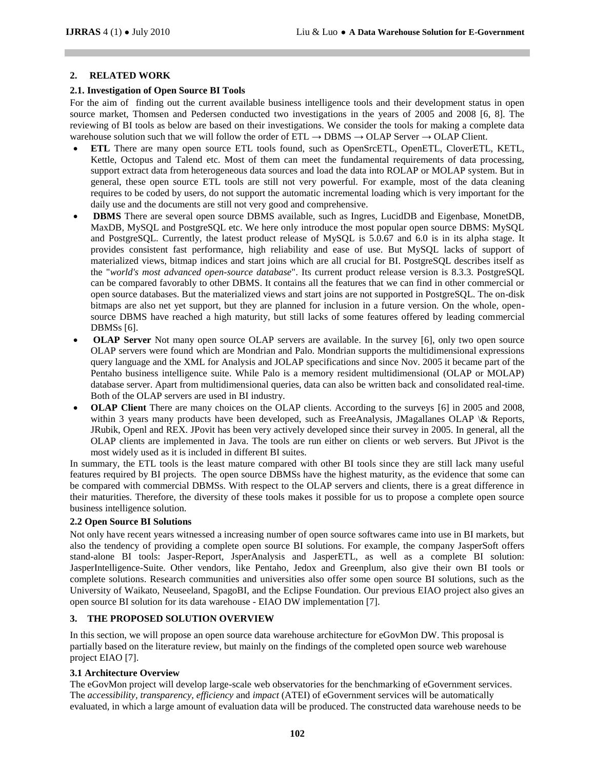## **2. RELATED WORK**

## **2.1. Investigation of Open Source BI Tools**

For the aim of finding out the current available business intelligence tools and their development status in open source market, Thomsen and Pedersen conducted two investigations in the years of 2005 and 2008 [6, 8]. The reviewing of BI tools as below are based on their investigations. We consider the tools for making a complete data warehouse solution such that we will follow the order of  $ETL \rightarrow DBMS \rightarrow OLAP$  Server  $\rightarrow OLAP$  Client.

- **ETL** There are many open source ETL tools found, such as OpenSrcETL, OpenETL, CloverETL, KETL, Kettle, Octopus and Talend etc. Most of them can meet the fundamental requirements of data processing, support extract data from heterogeneous data sources and load the data into ROLAP or MOLAP system. But in general, these open source ETL tools are still not very powerful. For example, most of the data cleaning requires to be coded by users, do not support the automatic incremental loading which is very important for the daily use and the documents are still not very good and comprehensive.
- **DBMS** There are several open source DBMS available, such as Ingres, LucidDB and Eigenbase, MonetDB, MaxDB, MySQL and PostgreSQL etc. We here only introduce the most popular open source DBMS: MySQL and PostgreSQL. Currently, the latest product release of MySQL is 5.0.67 and 6.0 is in its alpha stage. It provides consistent fast performance, high reliability and ease of use. But MySQL lacks of support of materialized views, bitmap indices and start joins which are all crucial for BI. PostgreSQL describes itself as the "*world's most advanced open-source database*". Its current product release version is 8.3.3. PostgreSQL can be compared favorably to other DBMS. It contains all the features that we can find in other commercial or open source databases. But the materialized views and start joins are not supported in PostgreSQL. The on-disk bitmaps are also net yet support, but they are planned for inclusion in a future version. On the whole, opensource DBMS have reached a high maturity, but still lacks of some features offered by leading commercial DBMSs [6].
- **OLAP Server** Not many open source OLAP servers are available. In the survey [6], only two open source OLAP servers were found which are Mondrian and Palo. Mondrian supports the multidimensional expressions query language and the XML for Analysis and JOLAP specifications and since Nov. 2005 it became part of the Pentaho business intelligence suite. While Palo is a memory resident multidimensional (OLAP or MOLAP) database server. Apart from multidimensional queries, data can also be written back and consolidated real-time. Both of the OLAP servers are used in BI industry.
- **OLAP Client** There are many choices on the OLAP clients. According to the surveys [6] in 2005 and 2008, within 3 years many products have been developed, such as FreeAnalysis, JMagallanes OLAP \& Reports, JRubik, Openl and REX. JPovit has been very actively developed since their survey in 2005. In general, all the OLAP clients are implemented in Java. The tools are run either on clients or web servers. But JPivot is the most widely used as it is included in different BI suites.

In summary, the ETL tools is the least mature compared with other BI tools since they are still lack many useful features required by BI projects. The open source DBMSs have the highest maturity, as the evidence that some can be compared with commercial DBMSs. With respect to the OLAP servers and clients, there is a great difference in their maturities. Therefore, the diversity of these tools makes it possible for us to propose a complete open source business intelligence solution.

#### **2.2 Open Source BI Solutions**

Not only have recent years witnessed a increasing number of open source softwares came into use in BI markets, but also the tendency of providing a complete open source BI solutions. For example, the company JasperSoft offers stand-alone BI tools: Jasper-Report, JsperAnalysis and JasperETL, as well as a complete BI solution: JasperIntelligence-Suite. Other vendors, like Pentaho, Jedox and Greenplum, also give their own BI tools or complete solutions. Research communities and universities also offer some open source BI solutions, such as the University of Waikato, Neuseeland, SpagoBI, and the Eclipse Foundation. Our previous EIAO project also gives an open source BI solution for its data warehouse - EIAO DW implementation [7].

# **3. THE PROPOSED SOLUTION OVERVIEW**

In this section, we will propose an open source data warehouse architecture for eGovMon DW. This proposal is partially based on the literature review, but mainly on the findings of the completed open source web warehouse project EIAO [7].

### **3.1 Architecture Overview**

The eGovMon project will develop large-scale web observatories for the benchmarking of eGovernment services. The *accessibility, transparency, efficiency* and *impact* (ATEI) of eGovernment services will be automatically evaluated, in which a large amount of evaluation data will be produced. The constructed data warehouse needs to be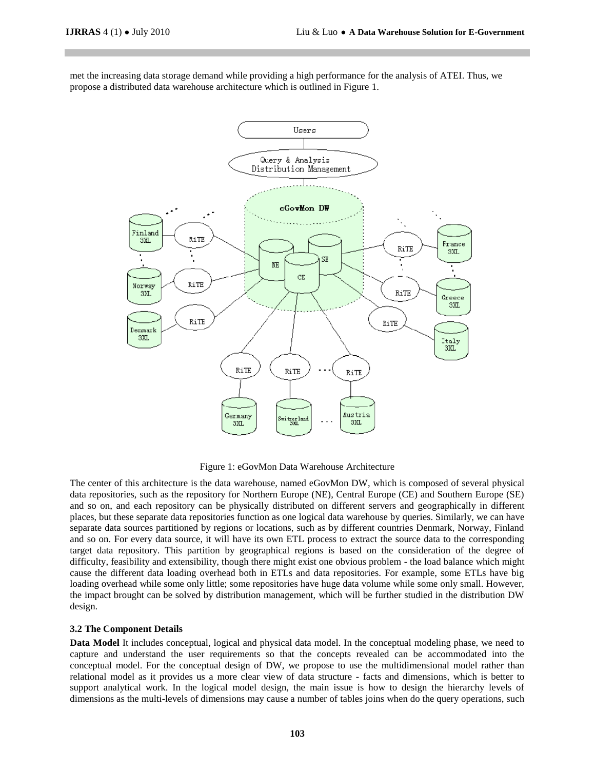met the increasing data storage demand while providing a high performance for the analysis of ATEI. Thus, we propose a distributed data warehouse architecture which is outlined in Figure 1.



Figure 1: eGovMon Data Warehouse Architecture

The center of this architecture is the data warehouse, named eGovMon DW, which is composed of several physical data repositories, such as the repository for Northern Europe (NE), Central Europe (CE) and Southern Europe (SE) and so on, and each repository can be physically distributed on different servers and geographically in different places, but these separate data repositories function as one logical data warehouse by queries. Similarly, we can have separate data sources partitioned by regions or locations, such as by different countries Denmark, Norway, Finland and so on. For every data source, it will have its own ETL process to extract the source data to the corresponding target data repository. This partition by geographical regions is based on the consideration of the degree of difficulty, feasibility and extensibility, though there might exist one obvious problem - the load balance which might cause the different data loading overhead both in ETLs and data repositories. For example, some ETLs have big loading overhead while some only little; some repositories have huge data volume while some only small. However, the impact brought can be solved by distribution management, which will be further studied in the distribution DW design.

#### **3.2 The Component Details**

**Data Model** It includes conceptual, logical and physical data model. In the conceptual modeling phase, we need to capture and understand the user requirements so that the concepts revealed can be accommodated into the conceptual model. For the conceptual design of DW, we propose to use the multidimensional model rather than relational model as it provides us a more clear view of data structure - facts and dimensions, which is better to support analytical work. In the logical model design, the main issue is how to design the hierarchy levels of dimensions as the multi-levels of dimensions may cause a number of tables joins when do the query operations, such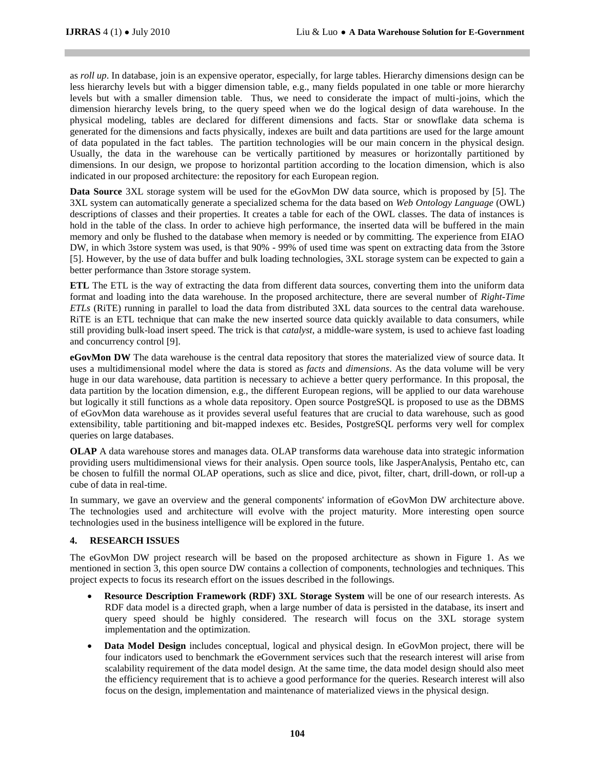as *roll up*. In database, join is an expensive operator, especially, for large tables. Hierarchy dimensions design can be less hierarchy levels but with a bigger dimension table, e.g., many fields populated in one table or more hierarchy levels but with a smaller dimension table. Thus, we need to considerate the impact of multi-joins, which the dimension hierarchy levels bring, to the query speed when we do the logical design of data warehouse. In the physical modeling, tables are declared for different dimensions and facts. Star or snowflake data schema is generated for the dimensions and facts physically, indexes are built and data partitions are used for the large amount of data populated in the fact tables. The partition technologies will be our main concern in the physical design. Usually, the data in the warehouse can be vertically partitioned by measures or horizontally partitioned by dimensions. In our design, we propose to horizontal partition according to the location dimension, which is also indicated in our proposed architecture: the repository for each European region.

**Data Source** 3XL storage system will be used for the eGovMon DW data source, which is proposed by [5]. The 3XL system can automatically generate a specialized schema for the data based on *Web Ontology Language* (OWL) descriptions of classes and their properties. It creates a table for each of the OWL classes. The data of instances is hold in the table of the class. In order to achieve high performance, the inserted data will be buffered in the main memory and only be flushed to the database when memory is needed or by committing. The experience from EIAO DW, in which 3store system was used, is that 90% - 99% of used time was spent on extracting data from the 3store [5]. However, by the use of data buffer and bulk loading technologies, 3XL storage system can be expected to gain a better performance than 3store storage system.

**ETL** The ETL is the way of extracting the data from different data sources, converting them into the uniform data format and loading into the data warehouse. In the proposed architecture, there are several number of *Right-Time ETLs* (RiTE) running in parallel to load the data from distributed 3XL data sources to the central data warehouse. RiTE is an ETL technique that can make the new inserted source data quickly available to data consumers, while still providing bulk-load insert speed. The trick is that *catalyst*, a middle-ware system, is used to achieve fast loading and concurrency control [9].

**eGovMon DW** The data warehouse is the central data repository that stores the materialized view of source data. It uses a multidimensional model where the data is stored as *facts* and *dimensions*. As the data volume will be very huge in our data warehouse, data partition is necessary to achieve a better query performance. In this proposal, the data partition by the location dimension, e.g., the different European regions, will be applied to our data warehouse but logically it still functions as a whole data repository. Open source PostgreSQL is proposed to use as the DBMS of eGovMon data warehouse as it provides several useful features that are crucial to data warehouse, such as good extensibility, table partitioning and bit-mapped indexes etc. Besides, PostgreSQL performs very well for complex queries on large databases.

**OLAP** A data warehouse stores and manages data. OLAP transforms data warehouse data into strategic information providing users multidimensional views for their analysis. Open source tools, like JasperAnalysis, Pentaho etc, can be chosen to fulfill the normal OLAP operations, such as slice and dice, pivot, filter, chart, drill-down, or roll-up a cube of data in real-time.

In summary, we gave an overview and the general components' information of eGovMon DW architecture above. The technologies used and architecture will evolve with the project maturity. More interesting open source technologies used in the business intelligence will be explored in the future.

# **4. RESEARCH ISSUES**

The eGovMon DW project research will be based on the proposed architecture as shown in Figure 1. As we mentioned in section 3, this open source DW contains a collection of components, technologies and techniques. This project expects to focus its research effort on the issues described in the followings.

- **Resource Description Framework (RDF) 3XL Storage System** will be one of our research interests. As RDF data model is a directed graph, when a large number of data is persisted in the database, its insert and query speed should be highly considered. The research will focus on the 3XL storage system implementation and the optimization.
- **Data Model Design** includes conceptual, logical and physical design. In eGovMon project, there will be four indicators used to benchmark the eGovernment services such that the research interest will arise from scalability requirement of the data model design. At the same time, the data model design should also meet the efficiency requirement that is to achieve a good performance for the queries. Research interest will also focus on the design, implementation and maintenance of materialized views in the physical design.